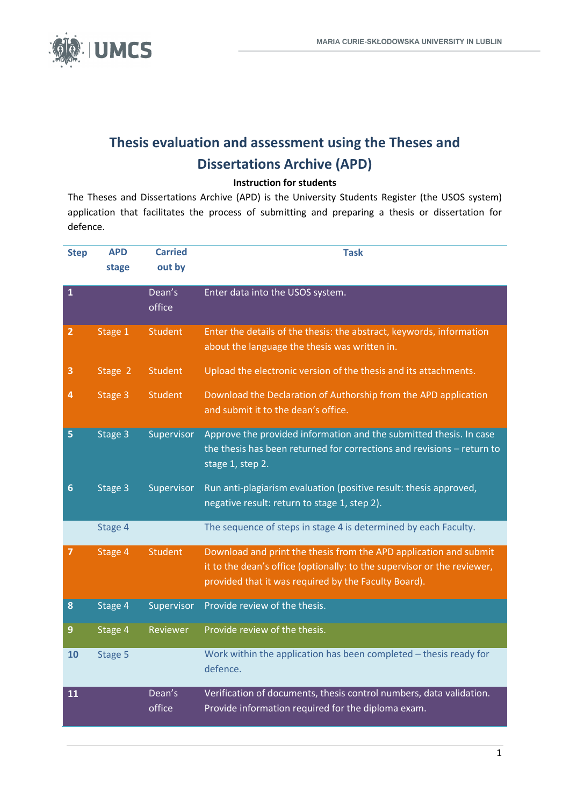

# **Thesis evaluation and assessment using the Theses and Dissertations Archive (APD)**

#### **Instruction for students**

The Theses and Dissertations Archive (APD) is the University Students Register (the USOS system) application that facilitates the process of submitting and preparing a thesis or dissertation for defence.

| <b>Step</b>    | <b>APD</b> | <b>Carried</b>   | <b>Task</b>                                                                                                                                                                                          |
|----------------|------------|------------------|------------------------------------------------------------------------------------------------------------------------------------------------------------------------------------------------------|
|                | stage      | out by           |                                                                                                                                                                                                      |
| $\mathbf 1$    |            | Dean's<br>office | Enter data into the USOS system.                                                                                                                                                                     |
| $\overline{2}$ | Stage 1    | <b>Student</b>   | Enter the details of the thesis: the abstract, keywords, information<br>about the language the thesis was written in.                                                                                |
| 3              | Stage 2    | <b>Student</b>   | Upload the electronic version of the thesis and its attachments.                                                                                                                                     |
| 4              | Stage 3    | <b>Student</b>   | Download the Declaration of Authorship from the APD application<br>and submit it to the dean's office.                                                                                               |
| 5              | Stage 3    | Supervisor       | Approve the provided information and the submitted thesis. In case<br>the thesis has been returned for corrections and revisions - return to<br>stage 1, step 2.                                     |
| $6\phantom{1}$ | Stage 3    | Supervisor       | Run anti-plagiarism evaluation (positive result: thesis approved,<br>negative result: return to stage 1, step 2).                                                                                    |
|                | Stage 4    |                  | The sequence of steps in stage 4 is determined by each Faculty.                                                                                                                                      |
| 7              | Stage 4    | <b>Student</b>   | Download and print the thesis from the APD application and submit<br>it to the dean's office (optionally: to the supervisor or the reviewer,<br>provided that it was required by the Faculty Board). |
| 8              | Stage 4    | Supervisor       | Provide review of the thesis.                                                                                                                                                                        |
| $\overline{9}$ | Stage 4    | Reviewer         | Provide review of the thesis.                                                                                                                                                                        |
| 10             | Stage 5    |                  | Work within the application has been completed - thesis ready for<br>defence.                                                                                                                        |
| 11             |            | Dean's<br>office | Verification of documents, thesis control numbers, data validation.<br>Provide information required for the diploma exam.                                                                            |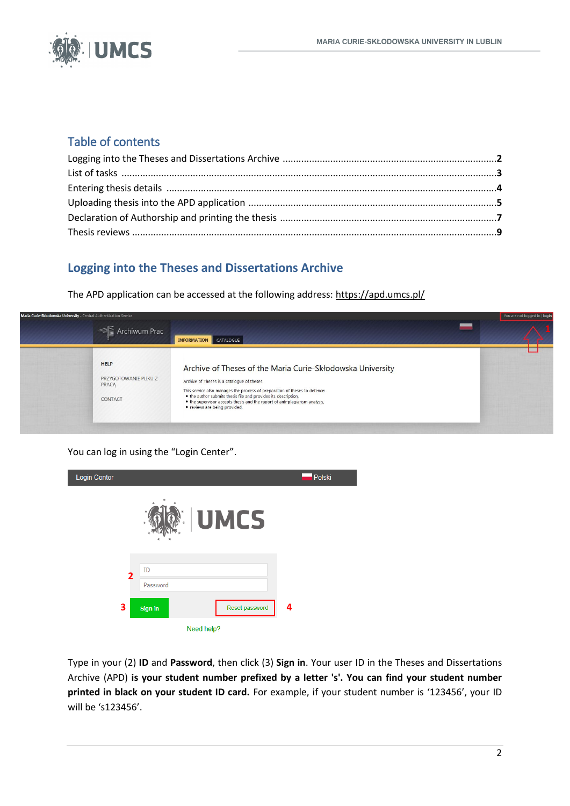

# Table of contents

# **Logging into the Theses and Dissertations Archive**

The APD application can be accessed at the following address[: https://apd.umcs.pl/](https://apd.umcs.pl/)



You can log in using the "Login Center".

| Login Center |                           | Polski |
|--------------|---------------------------|--------|
|              | <b>UMCS</b>               |        |
|              |                           |        |
| 2            | ID                        |        |
|              | Password                  |        |
| 3            | Reset password<br>Sign in | 4      |
|              | Need help?                |        |

Type in your (2) **ID** and **Password**, then click (3) **Sign in**. Your user ID in the Theses and Dissertations Archive (APD) **is your student number prefixed by a letter 's'. You can find your student number printed in black on your student ID card.** For example, if your student number is '123456', your ID will be 's123456'.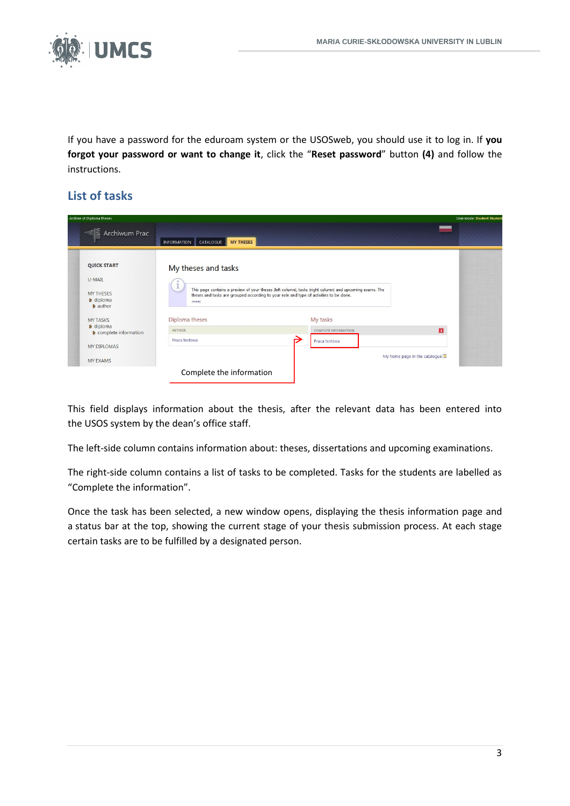

If you have a password for the eduroam system or the USOSweb, you should use it to log in. If **you forgot your password or want to change it**, click the "**Reset password**" button **(4)** and follow the instructions.

# **List of tasks**

| - Archive of Diploma Theses                             |                                                                                                                                                                                                             |                                              | User mode: Student Student |
|---------------------------------------------------------|-------------------------------------------------------------------------------------------------------------------------------------------------------------------------------------------------------------|----------------------------------------------|----------------------------|
| <b>E</b> Archiwum Prac                                  | <b>MY THESES</b><br>CATALOGUE<br><b>INFORMATION</b>                                                                                                                                                         |                                              |                            |
| <b>QUICK START</b>                                      | My theses and tasks                                                                                                                                                                                         |                                              |                            |
| U-MAIL                                                  |                                                                                                                                                                                                             |                                              |                            |
| <b>MY THESES</b><br><b>D</b> diploma<br><b>D</b> author | This page contains a preview of your theses (left column), tasks (right column) and upcoming exams. The<br>theses and tasks are grouped according to your role and type of activities to be done.<br>(more) |                                              |                            |
| <b>MY TASKS</b>                                         | Diploma theses                                                                                                                                                                                              | My tasks                                     |                            |
| <b>D</b> diploma<br><b>D</b> complete information       | <b>AUTHOR</b>                                                                                                                                                                                               | П<br><b>COMPLETE INFORMATION</b>             |                            |
|                                                         | Praca testowa                                                                                                                                                                                               | Praca testowa                                |                            |
| MY DIPLOMAS                                             |                                                                                                                                                                                                             |                                              |                            |
| <b>MY EXAMS</b>                                         |                                                                                                                                                                                                             | My home page in the catalogue $\blacksquare$ |                            |
|                                                         | Complete the information                                                                                                                                                                                    |                                              |                            |
|                                                         |                                                                                                                                                                                                             |                                              |                            |

This field displays information about the thesis, after the relevant data has been entered into the USOS system by the dean's office staff.

The left-side column contains information about: theses, dissertations and upcoming examinations.

The right-side column contains a list of tasks to be completed. Tasks for the students are labelled as "Complete the information".

Once the task has been selected, a new window opens, displaying the thesis information page and a status bar at the top, showing the current stage of your thesis submission process. At each stage certain tasks are to be fulfilled by a designated person.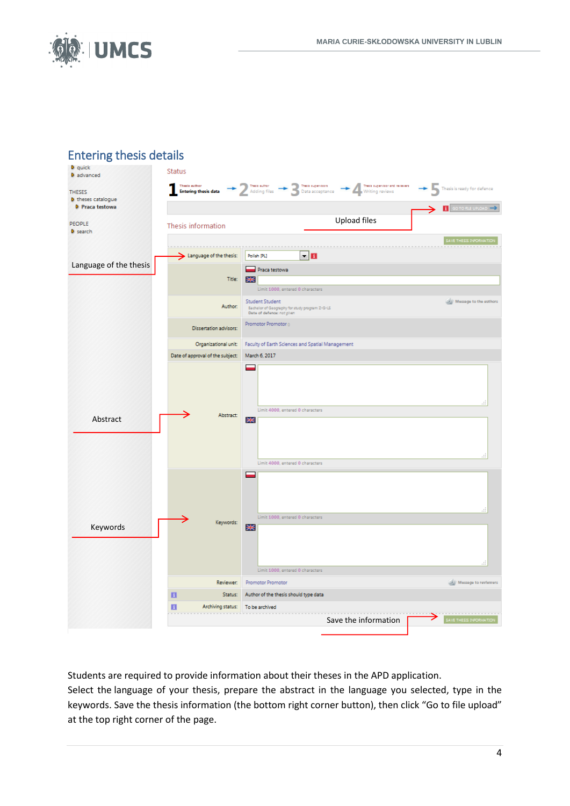

# Entering thesis details



Students are required to provide information about their theses in the APD application.

Select the language of your thesis, prepare the abstract in the language you selected, type in the keywords. Save the thesis information (the bottom right corner button), then click "Go to file upload" at the top right corner of the page.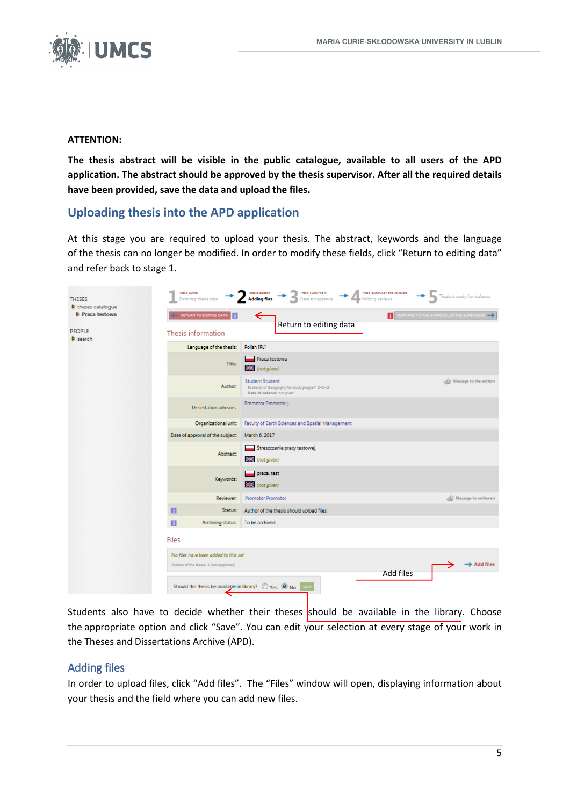

#### **ATTENTION:**

**The thesis abstract will be visible in the public catalogue, available to all users of the APD application. The abstract should be approved by the thesis supervisor. After all the required details have been provided, save the data and upload the files.** 

## **Uploading thesis into the APD application**

At this stage you are required to upload your thesis. The abstract, keywords and the language of the thesis can no longer be modified. In order to modify these fields, click "Return to editing data" and refer back to stage 1.

| <b>THESES</b><br><b>D</b> theses catalogue | Thesis author: | Entering thesis data                    | Thesis supervisors<br>Thesis sugervisor and reviewers<br>Thesis suthor<br>Thesis is ready for defence<br><b>Adding files</b><br>Data acceptance<br>Writing reviews |
|--------------------------------------------|----------------|-----------------------------------------|--------------------------------------------------------------------------------------------------------------------------------------------------------------------|
| D Praca testowa                            |                | RETURN TO EDITING DATA                  | <b>F</b> PORWARD TO THE APPROVAL OF THE SUPERVISOR<br>→                                                                                                            |
| <b>PEOPLE</b><br><b>D</b> search           |                | Thesis information                      | Return to editing data                                                                                                                                             |
|                                            |                | Language of the thesis:                 | Polish [PL]                                                                                                                                                        |
|                                            |                | <b>Title:</b>                           | Praca testowa<br><b>Exc</b> (not given)                                                                                                                            |
|                                            |                | Author:                                 | <b>Student Student</b><br>(b) Message to the authors<br>Bachelor of Geography for study program Z-G-LS<br>Date of defence: not given                               |
|                                            |                | <b>Dissertation advisors:</b>           | Promotor Promotor o                                                                                                                                                |
|                                            |                | Organizational unit:                    | Faculty of Earth Sciences and Spatial Management                                                                                                                   |
|                                            |                | Date of approval of the subject:        | March 6, 2017                                                                                                                                                      |
|                                            |                | Abstract:                               | Streszczenie pracy testowej.<br>(not given)                                                                                                                        |
|                                            |                | Keywords:                               | praca, test<br><b>XX</b> (not given)                                                                                                                               |
|                                            |                | Reviewer:                               | Promotor Promotor<br>Sil Message to reviewers                                                                                                                      |
|                                            | п              | Status:                                 | Author of the thesis should upload files                                                                                                                           |
|                                            | $\blacksquare$ | Archiving status: To be archived        |                                                                                                                                                                    |
|                                            | <b>Files</b>   |                                         |                                                                                                                                                                    |
|                                            |                | No files have been added to this set    |                                                                                                                                                                    |
|                                            |                | Version of the thesis: 1 (not approved) | $\rightarrow$ Add files                                                                                                                                            |
|                                            |                |                                         | Add files<br>Should the thesis be available in library? O Yes O No SAVE                                                                                            |

Students also have to decide whether their theses should be available in the library. Choose the appropriate option and click "Save". You can edit your selection at every stage of your work in the Theses and Dissertations Archive (APD).

#### Adding files

In order to upload files, click "Add files". The "Files" window will open, displaying information about your thesis and the field where you can add new files.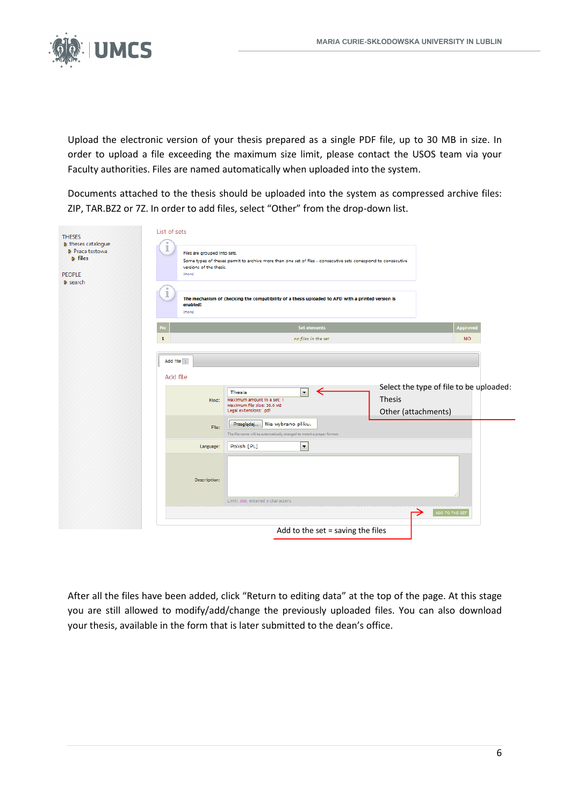

Upload the electronic version of your thesis prepared as a single PDF file, up to 30 MB in size. In order to upload a file exceeding the maximum size limit, please contact the USOS team via your Faculty authorities. Files are named automatically when uploaded into the system.

Documents attached to the thesis should be uploaded into the system as compressed archive files: ZIP, TAR.BZ2 or 7Z. In order to add files, select "Other" from the drop-down list.

| <b>THESES</b><br><b>D</b> theses catalogue<br>D Praca testowa<br><b>D</b> files<br>PEOPLE<br><b>D</b> search | List of sets<br>Files are grouped into sets.<br>Some types of theses permit to archive more than one set of files - consecutive sets correspond to consecutive<br>versions of the thesis.<br>(more)<br>The mechanism of checking the compatibility of a thesis uploaded to APD with a printed version is<br>enabled!<br>(more) |  |
|--------------------------------------------------------------------------------------------------------------|--------------------------------------------------------------------------------------------------------------------------------------------------------------------------------------------------------------------------------------------------------------------------------------------------------------------------------|--|
|                                                                                                              | <b>Set elements</b><br>Approved<br><b>No</b><br><b>NO</b><br>$\mathbf{1}$<br>no files in the set                                                                                                                                                                                                                               |  |
|                                                                                                              | Add file i<br>Add file<br>Select the type of file to be uploaded:<br>Thesis<br>$\blacktriangledown$<br><b>Thesis</b><br>Maximum amount in a set: 1<br>Kind:<br>Maximum file size: 30.0 MB<br>Legal extensions: .pdf<br>Other (attachments)                                                                                     |  |
|                                                                                                              | Nie wybrano pliku.<br>Przeglądaj<br>File:<br>The file name will be automatically changed to match a proper format.<br>Polish [PL]<br>۰<br>Language:                                                                                                                                                                            |  |
|                                                                                                              | Description:                                                                                                                                                                                                                                                                                                                   |  |
|                                                                                                              | Limit 300, entered 0 characters<br>ADD TO THE SET<br>Add to the set = saving the files                                                                                                                                                                                                                                         |  |

After all the files have been added, click "Return to editing data" at the top of the page. At this stage you are still allowed to modify/add/change the previously uploaded files. You can also download your thesis, available in the form that is later submitted to the dean's office.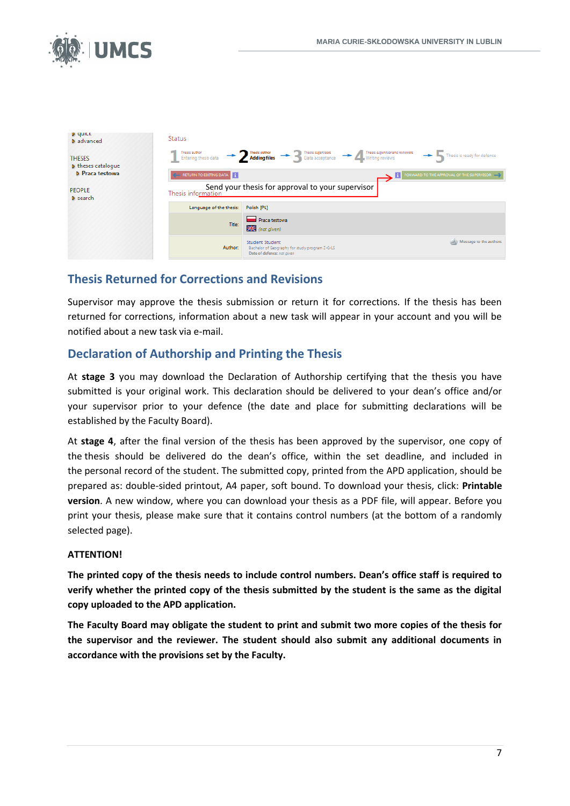

| <b>D</b> dates<br><b>D</b> advanced        | <b>Status</b>                         |                                                                                                                                           |
|--------------------------------------------|---------------------------------------|-------------------------------------------------------------------------------------------------------------------------------------------|
| <b>THESES</b><br><b>D</b> theses catalogue | Thesis author<br>Entering thesis data | Thesis supervisor and reviewers<br>> 2 Thesis euthor<br>Adding files<br>Data acceptance<br>Thesis is ready for defence<br>Writing reviews |
| D Praca testowa                            | RETURN TO EDITING DATA                | FORWARD TO THE APPROVAL OF THE SUPERVISOR<br>п                                                                                            |
| <b>PEOPLE</b><br><b>D</b> search           | Thesis information                    | Send your thesis for approval to your supervisor                                                                                          |
|                                            | Language of the thesis:               | Polish [PL]                                                                                                                               |
|                                            | Title:                                | <b>Praca testowa</b><br>$H$ (not given)                                                                                                   |
|                                            | Author:                               | Wessage to the authors<br><b>Student Student</b><br>Bachelor of Geography for study program Z-G-LS<br>Date of defence: not given          |

## **Thesis Returned for Corrections and Revisions**

Supervisor may approve the thesis submission or return it for corrections. If the thesis has been returned for corrections, information about a new task will appear in your account and you will be notified about a new task via e-mail.

#### **Declaration of Authorship and Printing the Thesis**

At **stage 3** you may download the Declaration of Authorship certifying that the thesis you have submitted is your original work. This declaration should be delivered to your dean's office and/or your supervisor prior to your defence (the date and place for submitting declarations will be established by the Faculty Board).

At **stage 4**, after the final version of the thesis has been approved by the supervisor, one copy of the thesis should be delivered do the dean's office, within the set deadline, and included in the personal record of the student. The submitted copy, printed from the APD application, should be prepared as: double-sided printout, A4 paper, soft bound. To download your thesis, click: **Printable version**. A new window, where you can download your thesis as a PDF file, will appear. Before you print your thesis, please make sure that it contains control numbers (at the bottom of a randomly selected page).

#### **ATTENTION!**

**The printed copy of the thesis needs to include control numbers. Dean's office staff is required to verify whether the printed copy of the thesis submitted by the student is the same as the digital copy uploaded to the APD application.** 

**The Faculty Board may obligate the student to print and submit two more copies of the thesis for the supervisor and the reviewer. The student should also submit any additional documents in accordance with the provisions set by the Faculty.**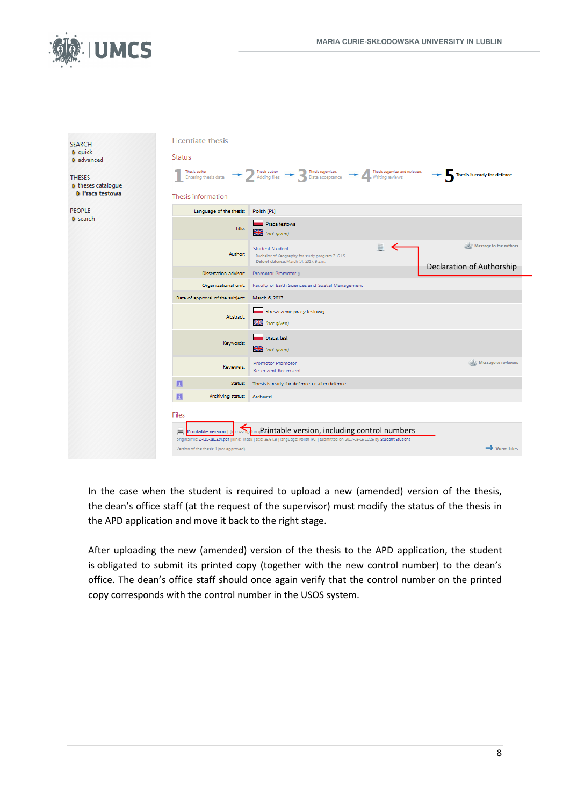

| <b>SEARCH</b>                              | Licentiate thesis                       |                                                                                                                                                                                                        |                             |
|--------------------------------------------|-----------------------------------------|--------------------------------------------------------------------------------------------------------------------------------------------------------------------------------------------------------|-----------------------------|
| <b>D</b> quick<br><b>D</b> advanced        | <b>Status</b>                           |                                                                                                                                                                                                        |                             |
| <b>THESES</b><br><b>D</b> theses catalogue |                                         | Thesis author and author $\rightarrow$ $\sum$ Thesis author $\rightarrow$ $\sum$ Thesis supervisors $\rightarrow$ $\sum$ Thesis supervisors and notewers                                               | Thesis is ready for defence |
| <b>D</b> Praca testowa                     | Thesis information                      |                                                                                                                                                                                                        |                             |
| <b>PEOPLE</b>                              | Language of the thesis:                 | Polish [PL]                                                                                                                                                                                            |                             |
| <b>D</b> search                            | Title:                                  | Praca testowa<br>$\geq$ (not given)                                                                                                                                                                    |                             |
|                                            | Author:                                 | $\mathbb{R}$ $\leq$<br><b>Student Student</b><br>Bachelor of Geography for study program Z-G-LS<br>Date of defence: March 14, 2017, 9 a.m.                                                             | Message to the authors      |
|                                            | Dissertation advisor:                   | Promotor Promotor ()                                                                                                                                                                                   | Declaration of Authorship   |
|                                            | Organizational unit:                    | Faculty of Earth Sciences and Spatial Management                                                                                                                                                       |                             |
|                                            | Date of approval of the subject:        | March 6, 2017                                                                                                                                                                                          |                             |
|                                            | Abstract                                | Streszczenie pracy testowej.<br><b>X</b> (not given)                                                                                                                                                   |                             |
|                                            | Keywords:                               | praca, test<br>$\frac{1}{2}$ (not given)                                                                                                                                                               |                             |
|                                            | Reviewers:                              | <b>Promotor Promotor</b><br><b>Recenzent Recenzent</b>                                                                                                                                                 | Wessage to reviewers        |
|                                            | П<br>Status:                            | Thesis is ready for defence or after defence                                                                                                                                                           |                             |
|                                            | П<br>Archiving status:                  | Archived                                                                                                                                                                                               |                             |
|                                            | Files                                   |                                                                                                                                                                                                        |                             |
|                                            | Printable version   (n)<br>嵩            | description gPrintable version, including control numbers<br>original file: Z-LIC-281324.pdf   kind: Thesis   size: 36.6 KB   language: Polish (PL)   submitted on 2017-03-06 10:26 by Student Student |                             |
|                                            | Version of the thesis: 1 (not approved) |                                                                                                                                                                                                        | $\rightarrow$ View files    |

In the case when the student is required to upload a new (amended) version of the thesis, the dean's office staff (at the request of the supervisor) must modify the status of the thesis in the APD application and move it back to the right stage.

After uploading the new (amended) version of the thesis to the APD application, the student is obligated to submit its printed copy (together with the new control number) to the dean's office. The dean's office staff should once again verify that the control number on the printed copy corresponds with the control number in the USOS system.